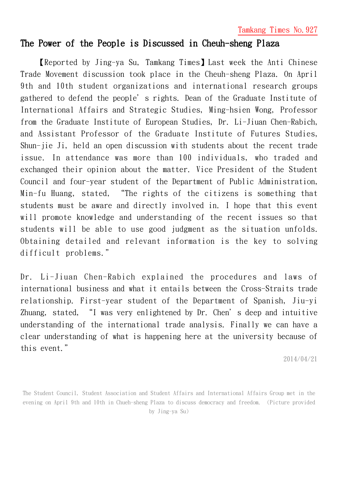Tamkang Times No.927

## The Power of the People is Discussed in Cheuh-sheng Plaza

【Reported by Jing-ya Su, Tamkang Times】Last week the Anti Chinese Trade Movement discussion took place in the Cheuh-sheng Plaza. On April 9th and 10th student organizations and international research groups gathered to defend the people's rights. Dean of the Graduate Institute of International Affairs and Strategic Studies, Ming-hsien Wong, Professor from the Graduate Institute of European Studies, Dr. Li-Jiuan Chen-Rabich, and Assistant Professor of the Graduate Institute of Futures Studies, Shun-jie Ji, held an open discussion with students about the recent trade issue. In attendance was more than 100 individuals, who traded and exchanged their opinion about the matter. Vice President of the Student Council and four-year student of the Department of Public Administration, Min-fu Huang, stated, "The rights of the citizens is something that students must be aware and directly involved in. I hope that this event will promote knowledge and understanding of the recent issues so that students will be able to use good judgment as the situation unfolds. Obtaining detailed and relevant information is the key to solving difficult problems."

Dr. Li-Jiuan Chen-Rabich explained the procedures and laws of international business and what it entails between the Cross-Straits trade relationship. First-year student of the Department of Spanish, Jiu-yi Zhuang, stated, "I was very enlightened by Dr. Chen's deep and intuitive understanding of the international trade analysis. Finally we can have a clear understanding of what is happening here at the university because of this event."

2014/04/21

The Student Council, Student Association and Student Affairs and International Affairs Group met in the evening on April 9th and 10th in Chueh-sheng Plaza to discuss democracy and freedom. (Picture provided by Jing-ya Su)